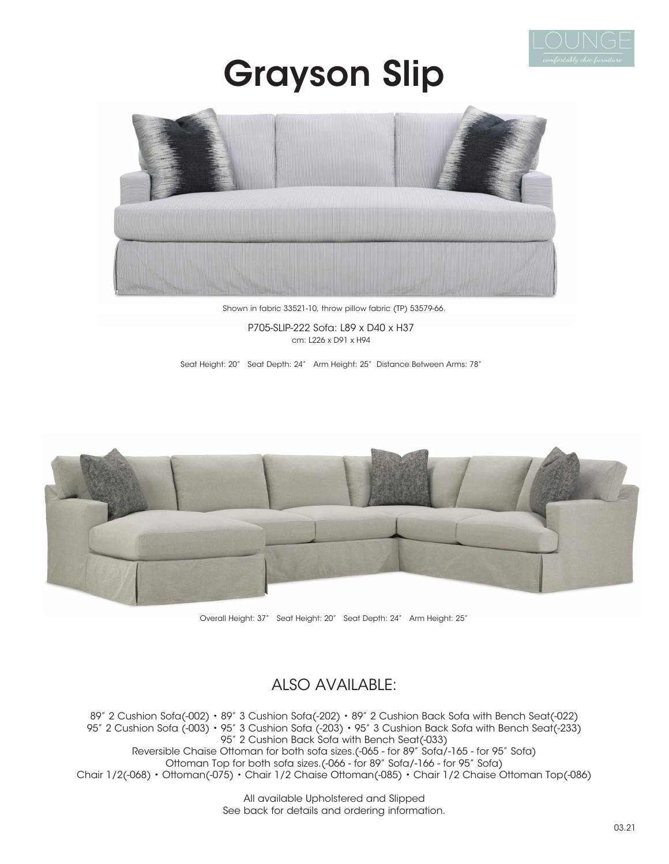

## Grayson Slip



Shown in fabric 33521-10, throw pillow fabric (TP) 53579-66.

P705-SLIP-222 Sofa: L89 x D40 x H37 cm: L226 x D91 x H94

Seat Height: 20" Seat Depth: 24" Arm Height: 25" Distance Between Arms: 78"



Overall Height: 37" Seat Height: 20" Seat Depth: 24" Arm Height: 25"

### ALSO AVAILABLE:

89" 2 Cushion Sofa(-002) • 89" 3 Cushion Sofa(-202) • 89" 2 Cushion Back Sofa with Bench Seat(-022) 95" 2 Cushion Sofa (-003) • 95" 3 Cushion Sofa (-203) • 95" 3 Cushion Back Sofa with Bench Seat(-233) 95" 2 Cushion Back Sofa with Bench Seat(-033) Reversible Chaise Ottoman for both sofa sizes.(-065 - for 89" Sofa/-165 - for 95" Sofa) Ottoman Top for both sofa sizes.(-066 - for 89" Sofa/-166 - for 95" Sofa) Chair 1/2(-068) • Ottoman(-075) • Chair 1/2 Chaise Ottoman(-085) • Chair 1/2 Chaise Ottoman Top(-086)

> All available Upholstered and Slipped See back for details and ordering information.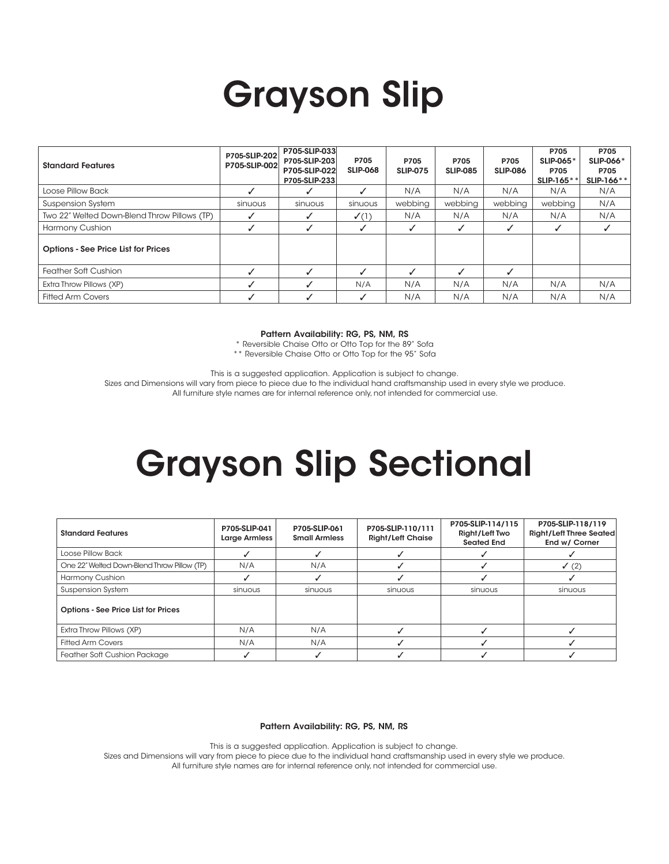# Grayson Slip

| <b>Standard Features</b>                     | P705-SLIP-202<br>P705-SLIP-002 | P705-SLIP-033<br>P705-SLIP-203<br>P705-SLIP-022<br>P705-SLIP-233 | P705<br><b>SLIP-068</b> | P705<br><b>SLIP-075</b> | P705<br><b>SLIP-085</b>  | P705<br><b>SLIP-086</b> | P705<br><b>SLIP-065*</b><br>P705<br><b>SLIP-165*</b> | P705<br><b>SLIP-066*</b><br>P705<br>SLIP-166** |
|----------------------------------------------|--------------------------------|------------------------------------------------------------------|-------------------------|-------------------------|--------------------------|-------------------------|------------------------------------------------------|------------------------------------------------|
| Loose Pillow Back                            |                                |                                                                  |                         | N/A                     | N/A                      | N/A                     | N/A                                                  | N/A                                            |
| <b>Suspension System</b>                     | sinuous                        | sinuous                                                          | sinuous                 | webbing                 | webbing                  | webbing                 | webbina                                              | N/A                                            |
| Two 22" Welted Down-Blend Throw Pillows (TP) |                                |                                                                  | $\checkmark$ (1)        | N/A                     | N/A                      | N/A                     | N/A                                                  | N/A                                            |
| Harmony Cushion                              |                                |                                                                  |                         |                         | ┙                        |                         |                                                      |                                                |
| <b>Options - See Price List for Prices</b>   |                                |                                                                  |                         |                         |                          |                         |                                                      |                                                |
| <b>Feather Soft Cushion</b>                  |                                |                                                                  |                         |                         | $\overline{\mathcal{L}}$ |                         |                                                      |                                                |
| Extra Throw Pillows (XP)                     |                                |                                                                  | N/A                     | N/A                     | N/A                      | N/A                     | N/A                                                  | N/A                                            |
| <b>Fitted Arm Covers</b>                     |                                |                                                                  |                         | N/A                     | N/A                      | N/A                     | N/A                                                  | N/A                                            |

#### Pattern Availability: RG, PS, NM, RS

\* Reversible Chaise Otto or Otto Top for the 89" Sofa

\*\* Reversible Chaise Otto or Otto Top for the 95" Sofa

This is a suggested application. Application is subject to change.

Sizes and Dimensions will vary from piece to piece due to the individual hand craftsmanship used in every style we produce.

All furniture style names are for internal reference only, not intended for commercial use.

### Grayson Slip Sectional

| <b>Standard Features</b>                    | P705-SLIP-041<br><b>Large Armless</b> | P705-SLIP-061<br><b>Small Armless</b> | P705-SLIP-110/111<br><b>Right/Left Chaise</b> | P705-SLIP-114/115<br>Right/Left Two<br>Seated End | P705-SLIP-118/119<br><b>Right/Left Three Seated</b><br>End w/ Corner |
|---------------------------------------------|---------------------------------------|---------------------------------------|-----------------------------------------------|---------------------------------------------------|----------------------------------------------------------------------|
| Loose Pillow Back                           |                                       |                                       |                                               |                                                   |                                                                      |
| One 22" Welted Down-Blend Throw Pillow (TP) | N/A                                   | N/A                                   |                                               |                                                   | $\checkmark$ (2)                                                     |
| Harmony Cushion                             |                                       |                                       |                                               |                                                   |                                                                      |
| <b>Suspension System</b>                    | sinuous                               | sinuous                               | sinuous                                       | sinuous                                           | sinuous                                                              |
| <b>Options - See Price List for Prices</b>  |                                       |                                       |                                               |                                                   |                                                                      |
| Extra Throw Pillows (XP)                    | N/A                                   | N/A                                   |                                               |                                                   |                                                                      |
| <b>Fitted Arm Covers</b>                    | N/A                                   | N/A                                   |                                               |                                                   |                                                                      |
| Feather Soft Cushion Package                |                                       |                                       |                                               |                                                   |                                                                      |

#### Pattern Availability: RG, PS, NM, RS

This is a suggested application. Application is subject to change.

Sizes and Dimensions will vary from piece to piece due to the individual hand craftsmanship used in every style we produce. All furniture style names are for internal reference only, not intended for commercial use.